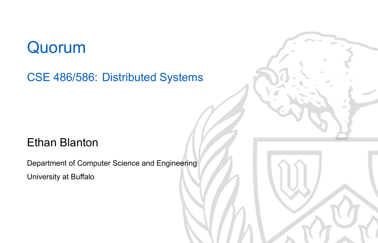## Quorum

CSE 486/586: Distributed Systems

### Ethan Blanton

Department of Computer Science and Engineering University at Buffalo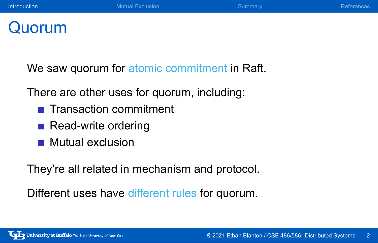## Quorum

We saw quorum for atomic commitment in Raft.

There are other uses for quorum, including:

- Transaction commitment
- Read-write ordering
- **Mutual exclusion**

They're all related in mechanism and protocol.

Different uses have different rules for quorum.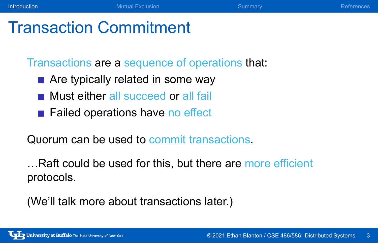## Transaction Commitment

Transactions are a sequence of operations that:

- Are typically related in some way
- **Must either all succeed or all fail**
- Failed operations have no effect

Quorum can be used to commit transactions.

…Raft could be used for this, but there are more efficient protocols.

(We'll talk more about transactions later.)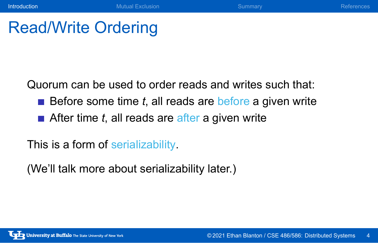**Introduction** References **Mutual Exclusion** Mutual Exclusion Summary References

## Read/Write Ordering

Quorum can be used to order reads and writes such that:

- $\blacksquare$  Before some time  $t$ , all reads are before a given write
- After time *t*, all reads are after a given write

This is a form of serializability.

(We'll talk more about serializability later.)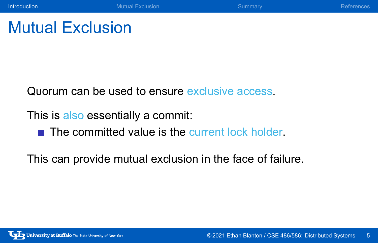Mutual Exclusion

Quorum can be used to ensure exclusive access.

This is also essentially a commit:

 $\blacksquare$  The committed value is the current lock holder.

This can provide mutual exclusion in the face of failure.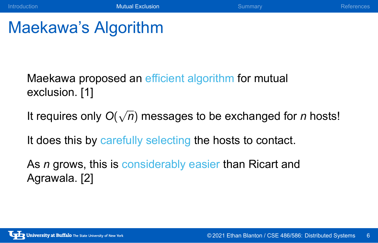## Maekawa's Algorithm

Maekawa proposed an efficient algorithm for mutual exclusion. [1]

It requires only *O*( *√ n*) messages to be exchanged for *n* hosts!

It does this by carefully selecting the hosts to contact.

As *n* grows, this is considerably easier than Ricart and Agrawala. [2]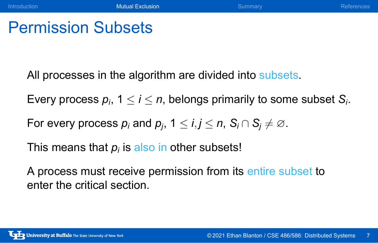## Permission Subsets

All processes in the algorithm are divided into subsets.

Every process  $p_i$ , 1  $\leq$  *i*  $\leq$  *n*, belongs primarily to some subset  $S_i$ .

For every process  $p_i$  and  $p_j$ , 1  $\leq$  *i*, *j*  $\leq$  *n*, S<sub>*i*</sub>  $\cap$  S<sub>*j*</sub>  $\neq \varnothing$ .

This means that  $\rho_i$  is also in other subsets!

A process must receive permission from its entire subset to enter the critical section.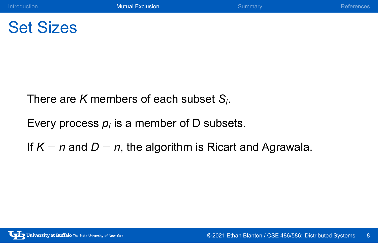## Set Sizes

There are *K* members of each subset *S<sup>i</sup>* .

Every process  $p_i$  is a member of D subsets.

If  $K = n$  and  $D = n$ , the algorithm is Ricart and Agrawala.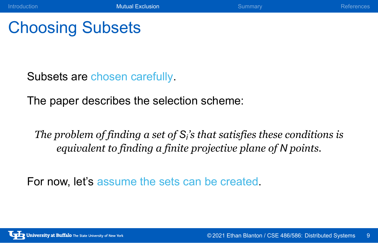Introduction **Controllect Controllect Controllect Controllect Controllect Controllect Controllect Controllect Controllect Controllect Controllect Controllect Controllect Controllect Controllect Controllect Controllect Cont** 

## Choosing Subsets

Subsets are chosen carefully.

The paper describes the selection scheme:

*The problem of finding a set of S<sup>i</sup> 's that satisfies these conditions is equivalent to finding a finite projective plane of N points.*

For now, let's assume the sets can be created.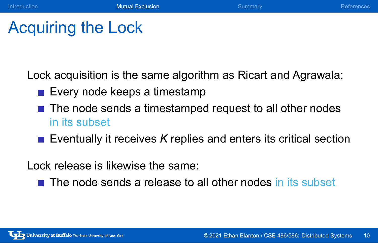Introduction **Controllect Controllect Controllect Controllect Controllect Controllect Controllect Controllect Controllect Controllect Controllect Controllect Controllect Controllect Controllect Controllect Controllect Cont** 

## Acquiring the Lock

Lock acquisition is the same algorithm as Ricart and Agrawala:

- Every node keeps a timestamp
- The node sends a timestamped request to all other nodes in its subset
- **Exentually it receives** *K* replies and enters its critical section

Lock release is likewise the same:

The node sends a release to all other nodes in its subset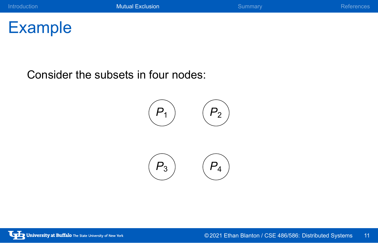

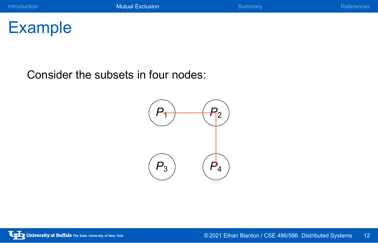

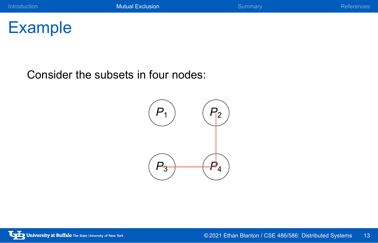

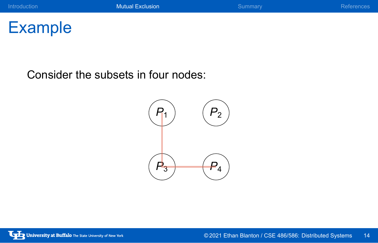

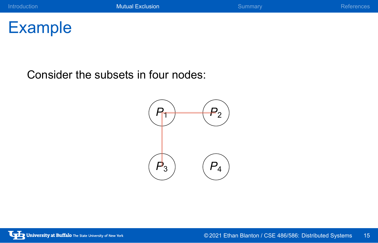

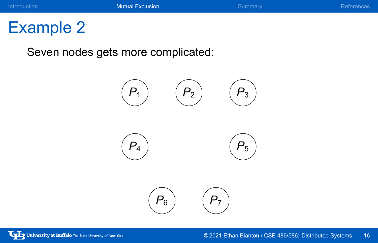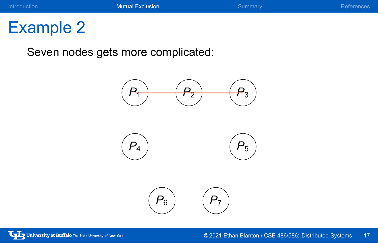### **Introduction Mutual Exclusion Mutual Exclusion** Summary **References**

# Example 2

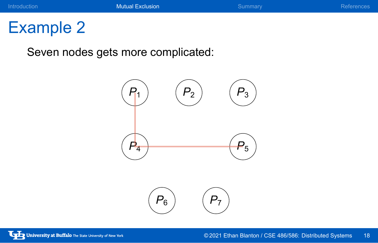

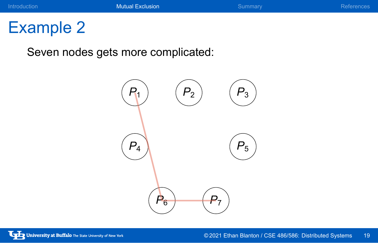

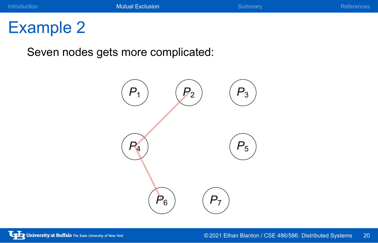

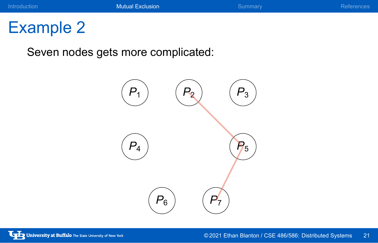

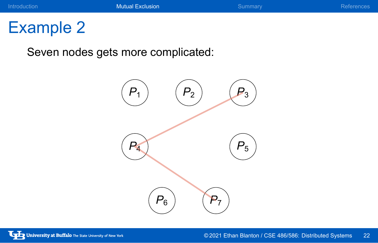

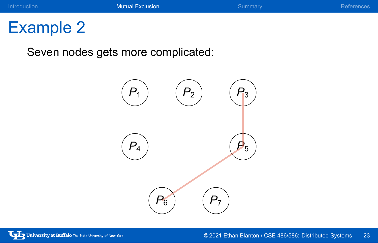

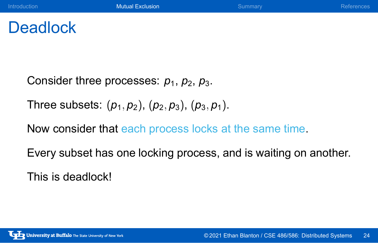## **Deadlock**

Consider three processes:  $p_1$ ,  $p_2$ ,  $p_3$ .

Three subsets: (*p*1*, p*2), (*p*2*, p*3), (*p*3*, p*1).

Now consider that each process locks at the same time.

Every subset has one locking process, and is waiting on another.

This is deadlock!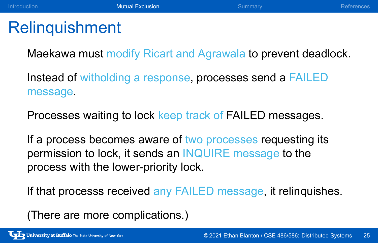## Relinquishment

Maekawa must modify Ricart and Agrawala to prevent deadlock.

Instead of witholding a response, processes send a FAILED message.

Processes waiting to lock keep track of FAILED messages.

If a process becomes aware of two processes requesting its permission to lock, it sends an INQUIRE message to the process with the lower-priority lock.

If that processs received any FAILED message, it relinquishes.

(There are more complications.)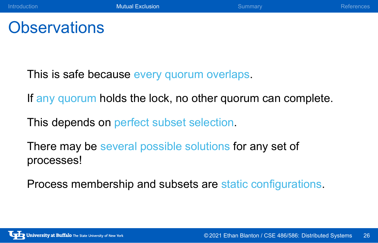## **Observations**

This is safe because every quorum overlaps.

If any quorum holds the lock, no other quorum can complete.

This depends on perfect subset selection.

There may be several possible solutions for any set of processes!

Process membership and subsets are static configurations.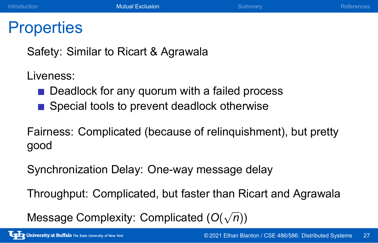## **Properties**

Safety: Similar to Ricart & Agrawala

Liveness:

- Deadlock for any quorum with a failed process
- Special tools to prevent deadlock otherwise

Fairness: Complicated (because of relinquishment), but pretty good

Synchronization Delay: One-way message delay

Throughput: Complicated, but faster than Ricart and Agrawala

Message Complexity: Complicated (*O*( *√ n*))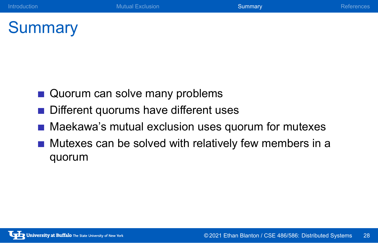**Introduction** References **Mutual Exclusion** Mutual Exclusion Summary References

## **Summary**

- Quorum can solve many problems
- Different quorums have different uses
- **Maekawa's mutual exclusion uses quorum for mutexes**
- $\blacksquare$  Mutexes can be solved with relatively few members in a quorum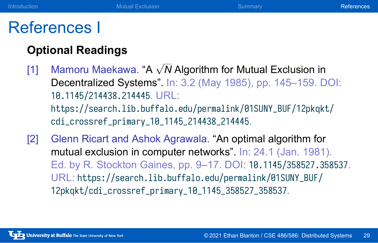### References I

### **Optional Readings**

[1] Mamoru Maekawa. "A *<sup>√</sup> N* Algorithm for Mutual Exclusion in Decentralized Systems". In: 3.2 (May 1985), pp. 145–159. DOI: 10.1145/214438.214445. URL: https://search.lib.buffalo.edu/permalink/01SUNY\_BUF/12pkqkt/ cdi\_crossref\_primary\_10\_1145\_214438\_214445.

**Introduction Mutual Exclusion Mutual Exclusion** Summary **References** 

[2] Glenn Ricart and Ashok Agrawala. "An optimal algorithm for mutual exclusion in computer networks". In: 24.1 (Jan. 1981). Ed. by R. Stockton Gaines, pp. 9–17. DOI: 10.1145/358527.358537. URL: https://search.lib.buffalo.edu/permalink/01SUNY\_BUF/ 12pkqkt/cdi\_crossref\_primary\_10\_1145\_358527\_358537.